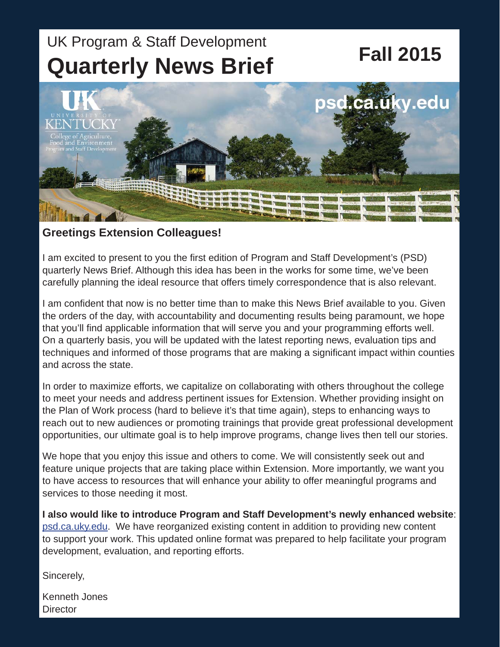# UK Program & Staff Development<br> **Fall 2015 Quarterly News Brief**



#### **Greetings Extension Colleagues!**

I am excited to present to you the first edition of Program and Staff Development's (PSD) quarterly News Brief. Although this idea has been in the works for some time, we've been carefully planning the ideal resource that offers timely correspondence that is also relevant.

I am confident that now is no better time than to make this News Brief available to you. Given the orders of the day, with accountability and documenting results being paramount, we hope that you'll find applicable information that will serve you and your programming efforts well. On a quarterly basis, you will be updated with the latest reporting news, evaluation tips and techniques and informed of those programs that are making a significant impact within counties and across the state.

In order to maximize efforts, we capitalize on collaborating with others throughout the college to meet your needs and address pertinent issues for Extension. Whether providing insight on the Plan of Work process (hard to believe it's that time again), steps to enhancing ways to reach out to new audiences or promoting trainings that provide great professional development opportunities, our ultimate goal is to help improve programs, change lives then tell our stories.

We hope that you enjoy this issue and others to come. We will consistently seek out and feature unique projects that are taking place within Extension. More importantly, we want you to have access to resources that will enhance your ability to offer meaningful programs and services to those needing it most.

**I also would like to introduce Program and Staff Development's newly enhanced website**: [psd.ca.uky.edu.](psd.ca.uky.edu) We have reorganized existing content in addition to providing new content to support your work. This updated online format was prepared to help facilitate your program development, evaluation, and reporting efforts.

Sincerely,

Kenneth Jones **Director**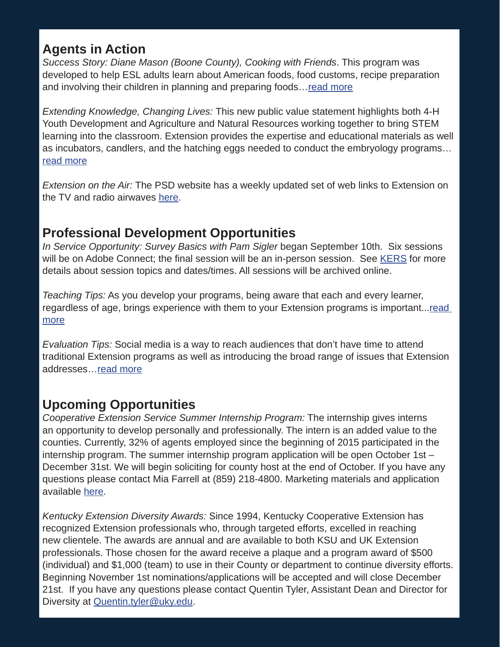### **Agents in Action**

*Success Story: Diane Mason (Boone County), Cooking with Friends*. This program was developed to help ESL adults learn about American foods, food customs, recipe preparation and involving their children in planning and preparing foods…[read more](https://psd.ca.uky.edu/files/fall_2015_success_story.pdf)

*Extending Knowledge, Changing Lives:* This new public value statement highlights both 4-H Youth Development and Agriculture and Natural Resources working together to bring STEM learning into the classroom. Extension provides the expertise and educational materials as well as incubators, candlers, and the hatching eggs needed to conduct the embryology programs… [read more](extension.ca.uky.edu/files/embryology_final.pdf)

*Extension on the Air:* The PSD website has a weekly updated set of web links to Extension on the TV and radio airwaves [here.](https://psd.ca.uky.edu/segments)

### **Professional Development Opportunities**

*In Service Opportunity: Survey Basics with Pam Sigler* began September 10th. Six sessions will be on Adobe Connect; the final session will be an in-person session. See [KERS](https://warehouse.ca.uky.edu/kers/login.aspx) for more details about session topics and dates/times. All sessions will be archived online.

*Teaching Tips:* As you develop your programs, being aware that each and every learner, regardless of age, brings experience with them to your Extension programs is important...read [more](http://psd.ca.uky.edu/files/fall_2015_teaching_tip.pdf)

*Evaluation Tips:* Social media is a way to reach audiences that don't have time to attend traditional Extension programs as well as introducing the broad range of issues that Extension addresses[…read more](http://psd.ca.uky.edu/files/fall_2015_psd_evaluation_tip_final.pdf)

## **Upcoming Opportunities**

*Cooperative Extension Service Summer Internship Program:* The internship gives interns an opportunity to develop personally and professionally. The intern is an added value to the counties. Currently, 32% of agents employed since the beginning of 2015 participated in the internship program. The summer internship program application will be open October 1st – December 31st. We will begin soliciting for county host at the end of October. If you have any questions please contact Mia Farrell at (859) 218-4800. Marketing materials and application available [here.](https://extension-jobs.ca.uky.edu/summer-intern-application)

*Kentucky Extension Diversity Awards:* Since 1994, Kentucky Cooperative Extension has recognized Extension professionals who, through targeted efforts, excelled in reaching new clientele. The awards are annual and are available to both KSU and UK Extension professionals. Those chosen for the award receive a plaque and a program award of \$500 (individual) and \$1,000 (team) to use in their County or department to continue diversity efforts. Beginning November 1st nominations/applications will be accepted and will close December 21st. If you have any questions please contact Quentin Tyler, Assistant Dean and Director for Diversity at **Quentin.tyler@uky.edu**.